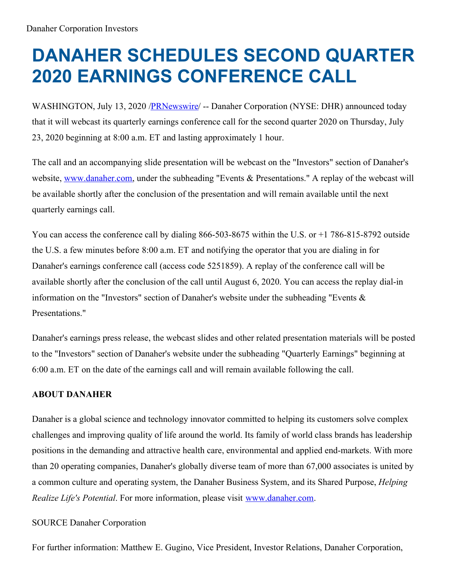## **DANAHER SCHEDULES SECOND QUARTER 2020 EARNINGS CONFERENCE CALL**

WASHINGTON, July 13, 2020 [/PRNewswire](http://www.prnewswire.com/)/ -- Danaher Corporation (NYSE: DHR) announced today that it will webcast its quarterly earnings conference call for the second quarter 2020 on Thursday, July 23, 2020 beginning at 8:00 a.m. ET and lasting approximately 1 hour.

The call and an accompanying slide presentation will be webcast on the "Investors" section of Danaher's website, [www.danaher.com](https://c212.net/c/link/?t=0&l=en&o=2856342-1&h=692362213&u=http%3A%2F%2Fwww.danaher.com%2F&a=www.danaher.com), under the subheading "Events & Presentations." A replay of the webcast will be available shortly after the conclusion of the presentation and will remain available until the next quarterly earnings call.

You can access the conference call by dialing 866-503-8675 within the U.S. or +1 786-815-8792 outside the U.S. a few minutes before 8:00 a.m. ET and notifying the operator that you are dialing in for Danaher's earnings conference call (access code 5251859). A replay of the conference call will be available shortly after the conclusion of the call until August 6, 2020. You can access the replay dial-in information on the "Investors" section of Danaher's website under the subheading "Events & Presentations."

Danaher's earnings press release, the webcast slides and other related presentation materials will be posted to the "Investors" section of Danaher's website under the subheading "Quarterly Earnings" beginning at 6:00 a.m. ET on the date of the earnings call and will remain available following the call.

## **ABOUT DANAHER**

Danaher is a global science and technology innovator committed to helping its customers solve complex challenges and improving quality of life around the world. Its family of world class brands has leadership positions in the demanding and attractive health care, environmental and applied end-markets. With more than 20 operating companies, Danaher's globally diverse team of more than 67,000 associates is united by a common culture and operating system, the Danaher Business System, and its Shared Purpose, *Helping Realize Life's Potential*. For more information, please visit [www.danaher.com](http://www.danaher.com).

## SOURCE Danaher Corporation

For further information: Matthew E. Gugino, Vice President, Investor Relations, Danaher Corporation,